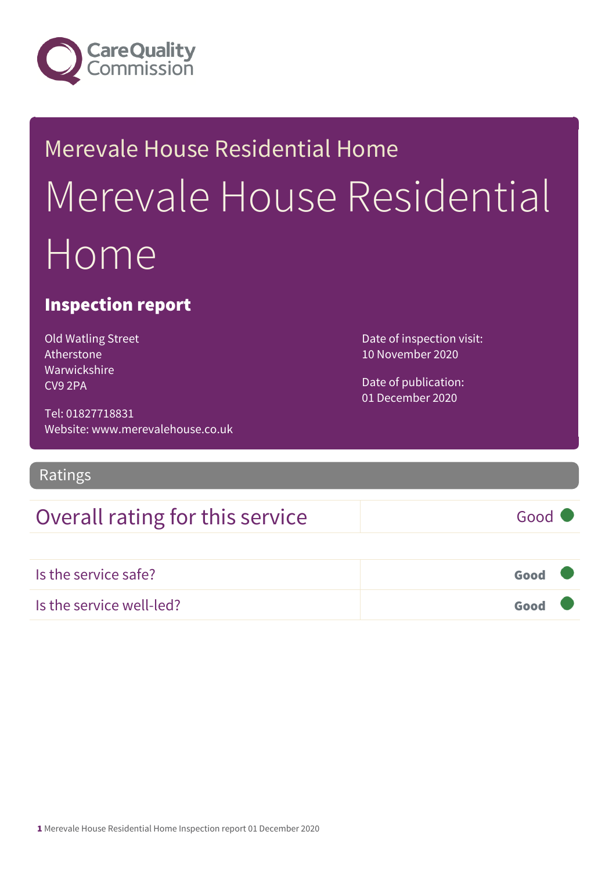

# Merevale House Residential Home Merevale House Residential Home

### Inspection report

Old Watling Street **Atherstone** Warwickshire CV9 2PA

Tel: 01827718831 Website: www.merevalehouse.co.uk

Ratings

## Overall rating for this service Good

Is the service safe? Good Is the service well-led? Good

Date of inspection visit: 10 November 2020

Date of publication: 01 December 2020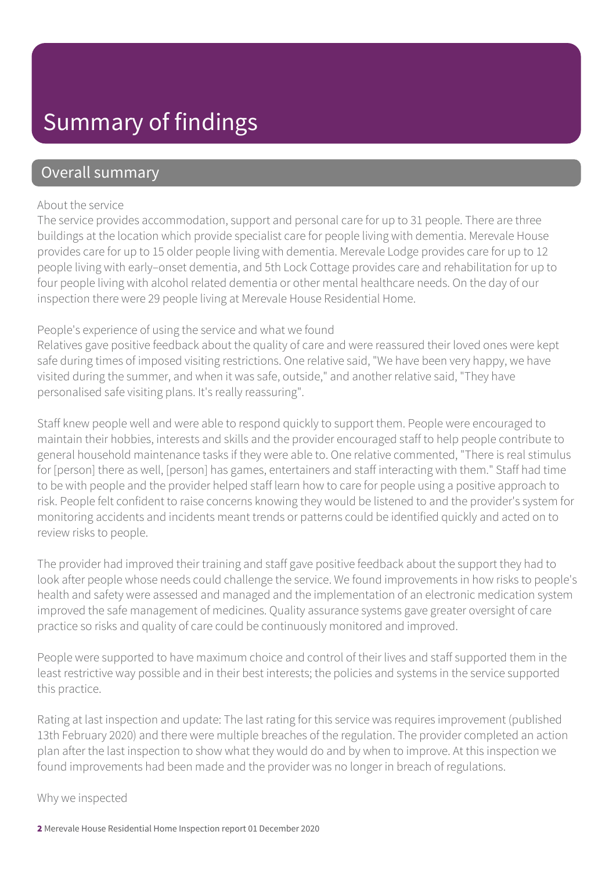## Summary of findings

### Overall summary

#### About the service

The service provides accommodation, support and personal care for up to 31 people. There are three buildings at the location which provide specialist care for people living with dementia. Merevale House provides care for up to 15 older people living with dementia. Merevale Lodge provides care for up to 12 people living with early–onset dementia, and 5th Lock Cottage provides care and rehabilitation for up to four people living with alcohol related dementia or other mental healthcare needs. On the day of our inspection there were 29 people living at Merevale House Residential Home.

#### People's experience of using the service and what we found

Relatives gave positive feedback about the quality of care and were reassured their loved ones were kept safe during times of imposed visiting restrictions. One relative said, "We have been very happy, we have visited during the summer, and when it was safe, outside," and another relative said, "They have personalised safe visiting plans. It's really reassuring".

Staff knew people well and were able to respond quickly to support them. People were encouraged to maintain their hobbies, interests and skills and the provider encouraged staff to help people contribute to general household maintenance tasks if they were able to. One relative commented, "There is real stimulus for [person] there as well, [person] has games, entertainers and staff interacting with them." Staff had time to be with people and the provider helped staff learn how to care for people using a positive approach to risk. People felt confident to raise concerns knowing they would be listened to and the provider's system for monitoring accidents and incidents meant trends or patterns could be identified quickly and acted on to review risks to people.

The provider had improved their training and staff gave positive feedback about the support they had to look after people whose needs could challenge the service. We found improvements in how risks to people's health and safety were assessed and managed and the implementation of an electronic medication system improved the safe management of medicines. Quality assurance systems gave greater oversight of care practice so risks and quality of care could be continuously monitored and improved.

People were supported to have maximum choice and control of their lives and staff supported them in the least restrictive way possible and in their best interests; the policies and systems in the service supported this practice.

Rating at last inspection and update: The last rating for this service was requires improvement (published 13th February 2020) and there were multiple breaches of the regulation. The provider completed an action plan after the last inspection to show what they would do and by when to improve. At this inspection we found improvements had been made and the provider was no longer in breach of regulations.

Why we inspected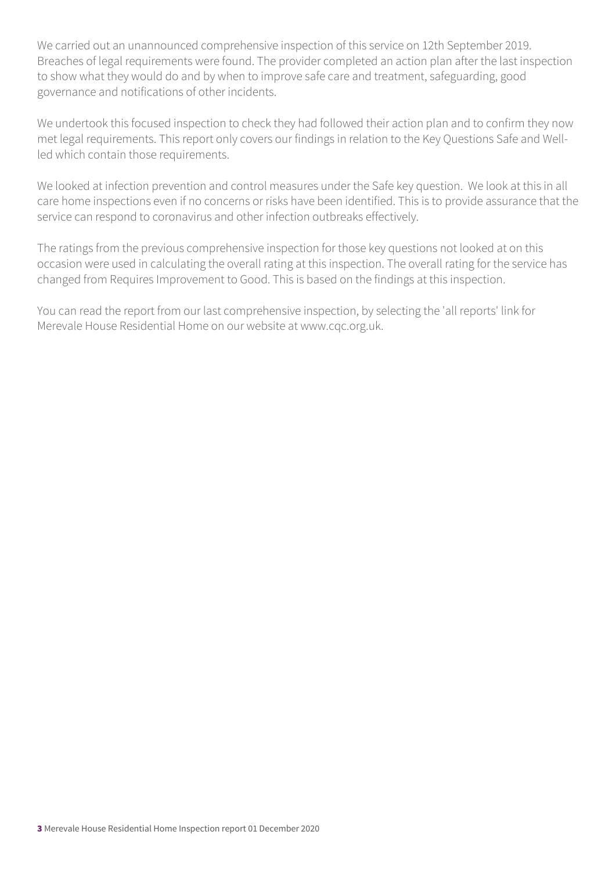We carried out an unannounced comprehensive inspection of this service on 12th September 2019. Breaches of legal requirements were found. The provider completed an action plan after the last inspection to show what they would do and by when to improve safe care and treatment, safeguarding, good governance and notifications of other incidents.

We undertook this focused inspection to check they had followed their action plan and to confirm they now met legal requirements. This report only covers our findings in relation to the Key Questions Safe and Wellled which contain those requirements.

We looked at infection prevention and control measures under the Safe key question. We look at this in all care home inspections even if no concerns or risks have been identified. This is to provide assurance that the service can respond to coronavirus and other infection outbreaks effectively.

The ratings from the previous comprehensive inspection for those key questions not looked at on this occasion were used in calculating the overall rating at this inspection. The overall rating for the service has changed from Requires Improvement to Good. This is based on the findings at this inspection.

You can read the report from our last comprehensive inspection, by selecting the 'all reports' link for Merevale House Residential Home on our website at www.cqc.org.uk.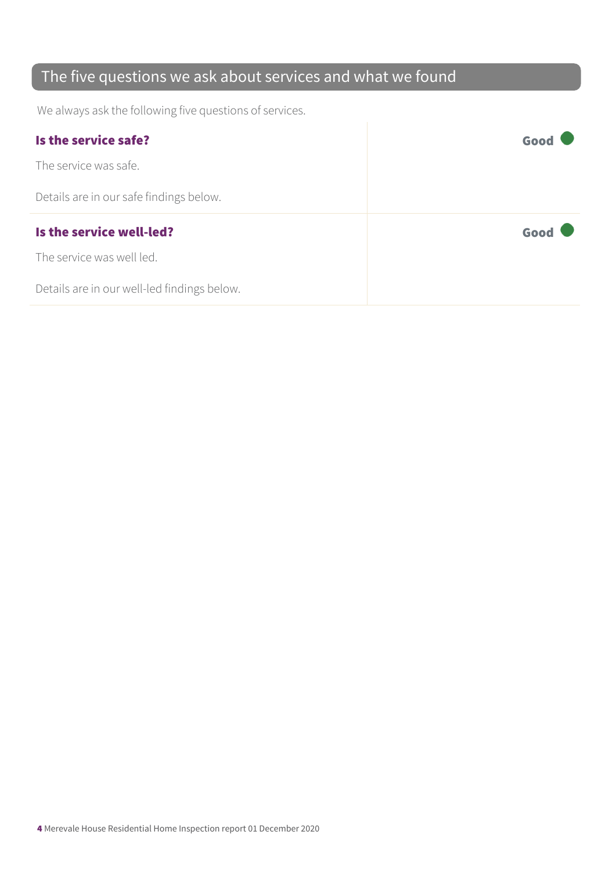## The five questions we ask about services and what we found

We always ask the following five questions of services.

| Is the service safe?                    | Good |
|-----------------------------------------|------|
| The service was safe.                   |      |
| Details are in our safe findings below. |      |
|                                         |      |
| Is the service well-led?                | Good |
| The service was well led.               |      |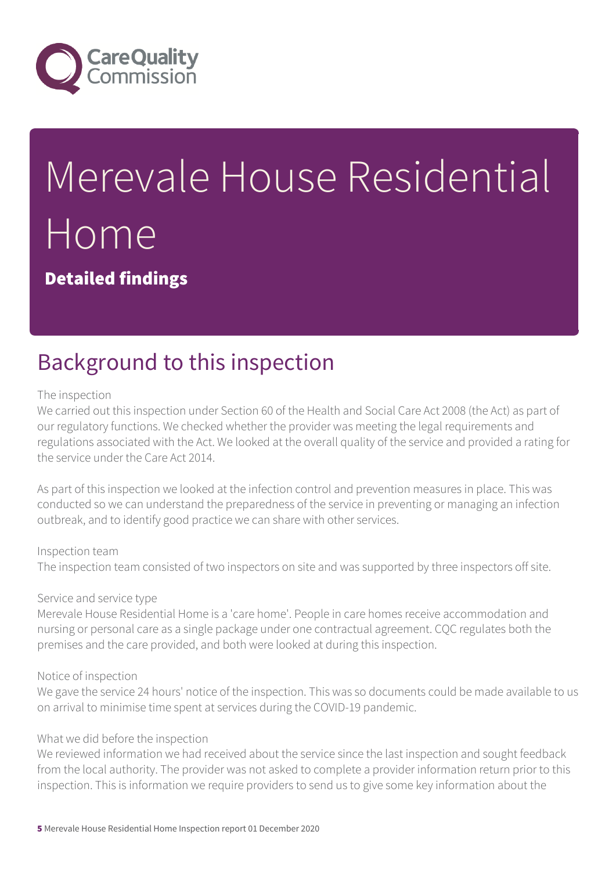

# Merevale House Residential Home

Detailed findings

# Background to this inspection

#### The inspection

We carried out this inspection under Section 60 of the Health and Social Care Act 2008 (the Act) as part of our regulatory functions. We checked whether the provider was meeting the legal requirements and regulations associated with the Act. We looked at the overall quality of the service and provided a rating for the service under the Care Act 2014.

As part of this inspection we looked at the infection control and prevention measures in place. This was conducted so we can understand the preparedness of the service in preventing or managing an infection outbreak, and to identify good practice we can share with other services.

#### Inspection team

The inspection team consisted of two inspectors on site and was supported by three inspectors off site.

#### Service and service type

Merevale House Residential Home is a 'care home'. People in care homes receive accommodation and nursing or personal care as a single package under one contractual agreement. CQC regulates both the premises and the care provided, and both were looked at during this inspection.

#### Notice of inspection

We gave the service 24 hours' notice of the inspection. This was so documents could be made available to us on arrival to minimise time spent at services during the COVID-19 pandemic.

#### What we did before the inspection

We reviewed information we had received about the service since the last inspection and sought feedback from the local authority. The provider was not asked to complete a provider information return prior to this inspection. This is information we require providers to send us to give some key information about the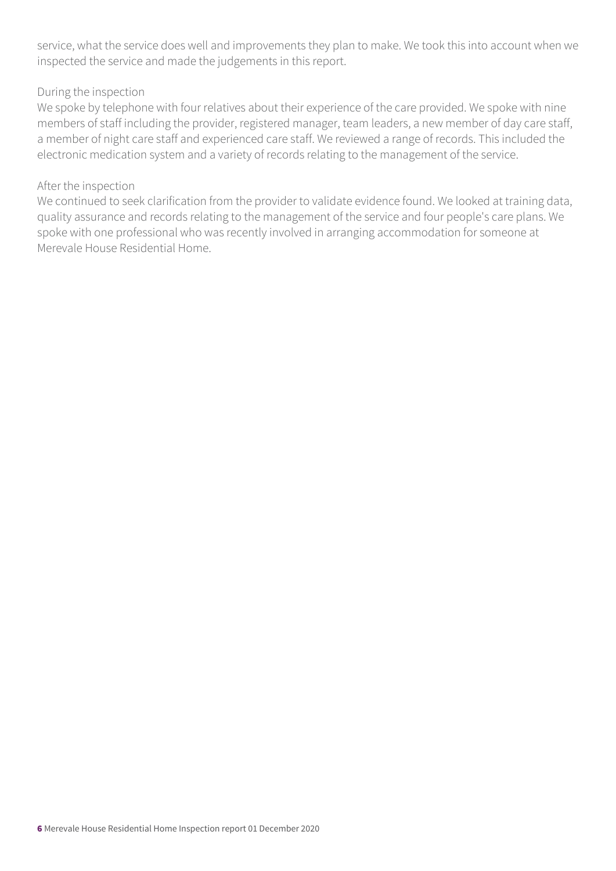service, what the service does well and improvements they plan to make. We took this into account when we inspected the service and made the judgements in this report.

#### During the inspection

We spoke by telephone with four relatives about their experience of the care provided. We spoke with nine members of staff including the provider, registered manager, team leaders, a new member of day care staff, a member of night care staff and experienced care staff. We reviewed a range of records. This included the electronic medication system and a variety of records relating to the management of the service.

#### After the inspection

We continued to seek clarification from the provider to validate evidence found. We looked at training data, quality assurance and records relating to the management of the service and four people's care plans. We spoke with one professional who was recently involved in arranging accommodation for someone at Merevale House Residential Home.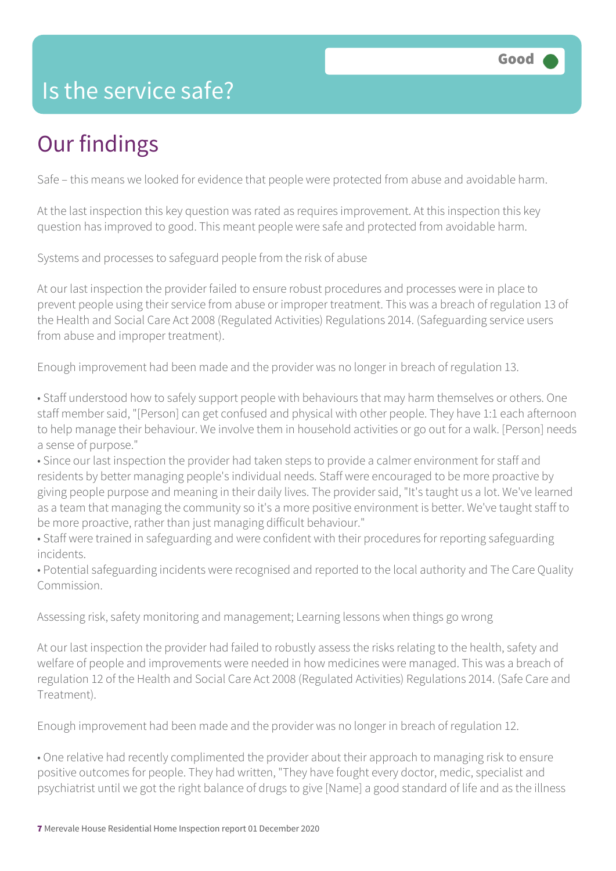## Is the service safe?

# Our findings

Safe – this means we looked for evidence that people were protected from abuse and avoidable harm.

At the last inspection this key question was rated as requires improvement. At this inspection this key question has improved to good. This meant people were safe and protected from avoidable harm.

Systems and processes to safeguard people from the risk of abuse

At our last inspection the provider failed to ensure robust procedures and processes were in place to prevent people using their service from abuse or improper treatment. This was a breach of regulation 13 of the Health and Social Care Act 2008 (Regulated Activities) Regulations 2014. (Safeguarding service users from abuse and improper treatment).

Enough improvement had been made and the provider was no longer in breach of regulation 13.

• Staff understood how to safely support people with behaviours that may harm themselves or others. One staff member said, "[Person] can get confused and physical with other people. They have 1:1 each afternoon to help manage their behaviour. We involve them in household activities or go out for a walk. [Person] needs a sense of purpose."

• Since our last inspection the provider had taken steps to provide a calmer environment for staff and residents by better managing people's individual needs. Staff were encouraged to be more proactive by giving people purpose and meaning in their daily lives. The provider said, "It's taught us a lot. We've learned as a team that managing the community so it's a more positive environment is better. We've taught staff to be more proactive, rather than just managing difficult behaviour."

• Staff were trained in safeguarding and were confident with their procedures for reporting safeguarding incidents.

• Potential safeguarding incidents were recognised and reported to the local authority and The Care Quality Commission.

Assessing risk, safety monitoring and management; Learning lessons when things go wrong

At our last inspection the provider had failed to robustly assess the risks relating to the health, safety and welfare of people and improvements were needed in how medicines were managed. This was a breach of regulation 12 of the Health and Social Care Act 2008 (Regulated Activities) Regulations 2014. (Safe Care and Treatment).

Enough improvement had been made and the provider was no longer in breach of regulation 12.

• One relative had recently complimented the provider about their approach to managing risk to ensure positive outcomes for people. They had written, "They have fought every doctor, medic, specialist and psychiatrist until we got the right balance of drugs to give [Name] a good standard of life and as the illness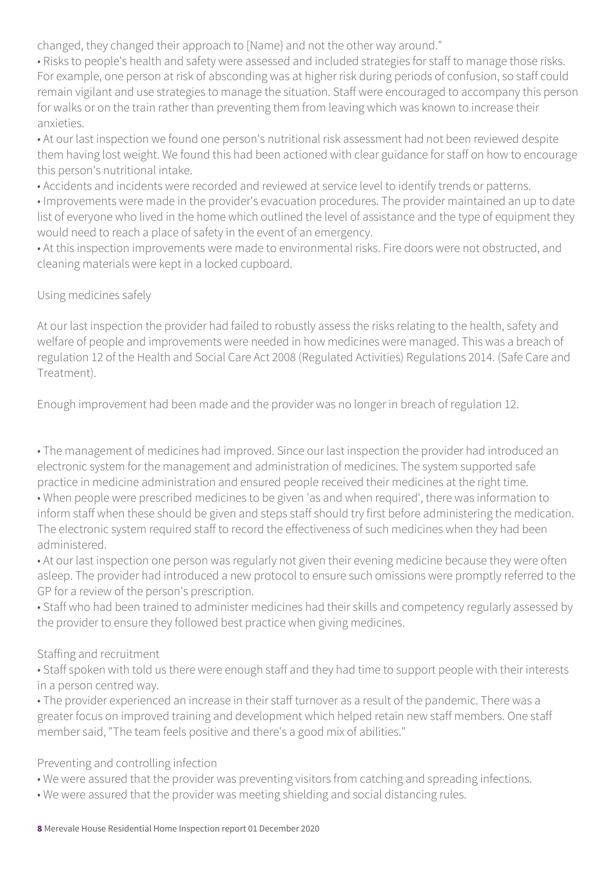changed, they changed their approach to [Name} and not the other way around."

• Risks to people's health and safety were assessed and included strategies for staff to manage those risks. For example, one person at risk of absconding was at higher risk during periods of confusion, so staff could remain vigilant and use strategies to manage the situation. Staff were encouraged to accompany this person for walks or on the train rather than preventing them from leaving which was known to increase their anxieties.

• At our last inspection we found one person's nutritional risk assessment had not been reviewed despite them having lost weight. We found this had been actioned with clear guidance for staff on how to encourage this person's nutritional intake.

• Accidents and incidents were recorded and reviewed at service level to identify trends or patterns.

• Improvements were made in the provider's evacuation procedures. The provider maintained an up to date list of everyone who lived in the home which outlined the level of assistance and the type of equipment they would need to reach a place of safety in the event of an emergency.

• At this inspection improvements were made to environmental risks. Fire doors were not obstructed, and cleaning materials were kept in a locked cupboard.

#### Using medicines safely

At our last inspection the provider had failed to robustly assess the risks relating to the health, safety and welfare of people and improvements were needed in how medicines were managed. This was a breach of regulation 12 of the Health and Social Care Act 2008 (Regulated Activities) Regulations 2014. (Safe Care and Treatment).

Enough improvement had been made and the provider was no longer in breach of regulation 12.

• The management of medicines had improved. Since our last inspection the provider had introduced an electronic system for the management and administration of medicines. The system supported safe practice in medicine administration and ensured people received their medicines at the right time.

• When people were prescribed medicines to be given 'as and when required', there was information to inform staff when these should be given and steps staff should try first before administering the medication. The electronic system required staff to record the effectiveness of such medicines when they had been administered.

• At our last inspection one person was regularly not given their evening medicine because they were often asleep. The provider had introduced a new protocol to ensure such omissions were promptly referred to the GP for a review of the person's prescription.

• Staff who had been trained to administer medicines had their skills and competency regularly assessed by the provider to ensure they followed best practice when giving medicines.

#### Staffing and recruitment

• Staff spoken with told us there were enough staff and they had time to support people with their interests in a person centred way.

• The provider experienced an increase in their staff turnover as a result of the pandemic. There was a greater focus on improved training and development which helped retain new staff members. One staff member said, "The team feels positive and there's a good mix of abilities."

Preventing and controlling infection

- We were assured that the provider was preventing visitors from catching and spreading infections.
- We were assured that the provider was meeting shielding and social distancing rules.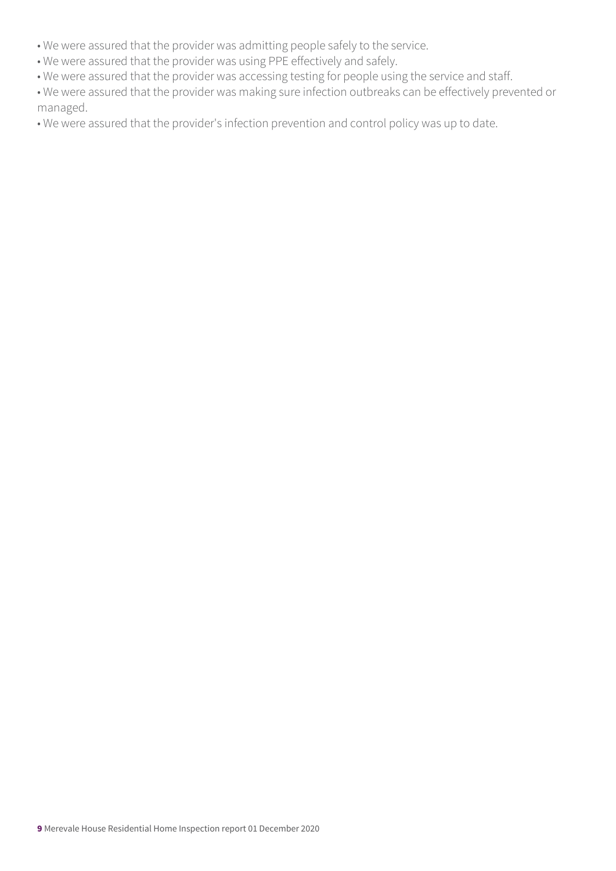- We were assured that the provider was admitting people safely to the service.
- We were assured that the provider was using PPE effectively and safely.
- We were assured that the provider was accessing testing for people using the service and staff.
- We were assured that the provider was making sure infection outbreaks can be effectively prevented or managed.
- We were assured that the provider's infection prevention and control policy was up to date.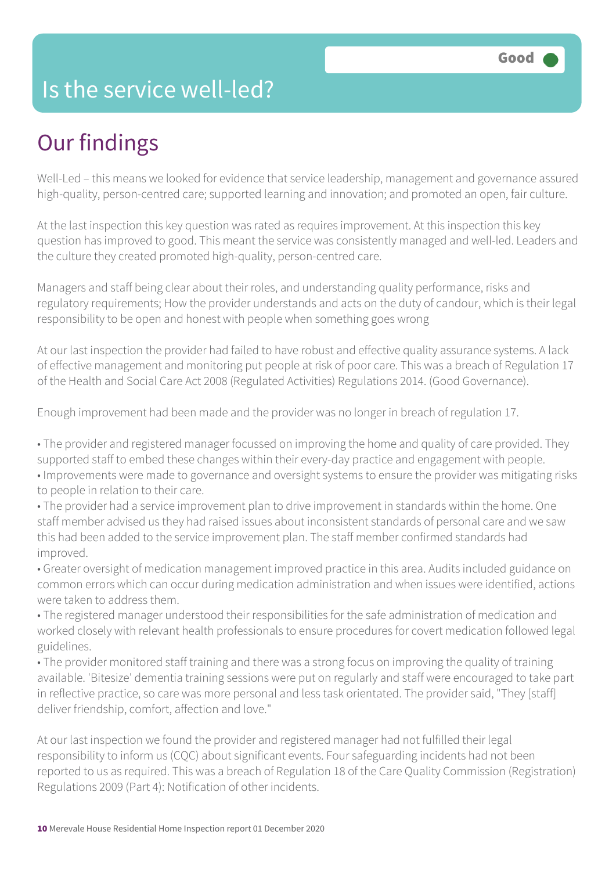## Is the service well-led?

# Our findings

Well-Led – this means we looked for evidence that service leadership, management and governance assured high-quality, person-centred care; supported learning and innovation; and promoted an open, fair culture.

At the last inspection this key question was rated as requires improvement. At this inspection this key question has improved to good. This meant the service was consistently managed and well-led. Leaders and the culture they created promoted high-quality, person-centred care.

Managers and staff being clear about their roles, and understanding quality performance, risks and regulatory requirements; How the provider understands and acts on the duty of candour, which is their legal responsibility to be open and honest with people when something goes wrong

At our last inspection the provider had failed to have robust and effective quality assurance systems. A lack of effective management and monitoring put people at risk of poor care. This was a breach of Regulation 17 of the Health and Social Care Act 2008 (Regulated Activities) Regulations 2014. (Good Governance).

Enough improvement had been made and the provider was no longer in breach of regulation 17.

• The provider and registered manager focussed on improving the home and quality of care provided. They supported staff to embed these changes within their every-day practice and engagement with people. • Improvements were made to governance and oversight systems to ensure the provider was mitigating risks to people in relation to their care.

• The provider had a service improvement plan to drive improvement in standards within the home. One staff member advised us they had raised issues about inconsistent standards of personal care and we saw this had been added to the service improvement plan. The staff member confirmed standards had improved.

• Greater oversight of medication management improved practice in this area. Audits included guidance on common errors which can occur during medication administration and when issues were identified, actions were taken to address them.

• The registered manager understood their responsibilities for the safe administration of medication and worked closely with relevant health professionals to ensure procedures for covert medication followed legal guidelines.

• The provider monitored staff training and there was a strong focus on improving the quality of training available. 'Bitesize' dementia training sessions were put on regularly and staff were encouraged to take part in reflective practice, so care was more personal and less task orientated. The provider said, "They [staff] deliver friendship, comfort, affection and love."

At our last inspection we found the provider and registered manager had not fulfilled their legal responsibility to inform us (CQC) about significant events. Four safeguarding incidents had not been reported to us as required. This was a breach of Regulation 18 of the Care Quality Commission (Registration) Regulations 2009 (Part 4): Notification of other incidents.